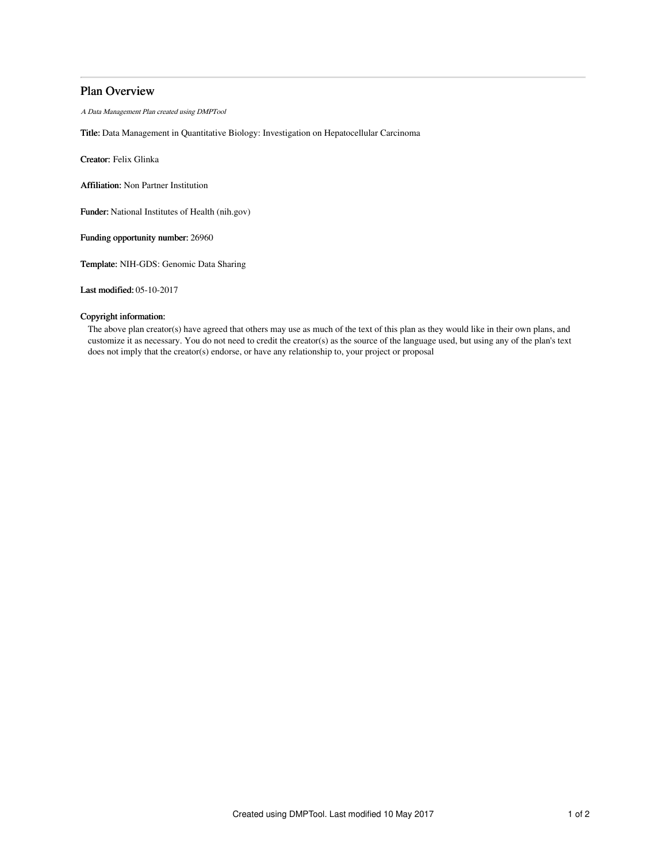# Plan Overview

A Data Management Plan created using DMPTool

Title: Data Management in Quantitative Biology: Investigation on Hepatocellular Carcinoma

Creator: Felix Glinka

Affiliation: Non Partner Institution

Funder: National Institutes of Health (nih.gov)

Funding opportunity number: 26960

Template: NIH-GDS: Genomic Data Sharing

Last modified: 05-10-2017

# Copyright information:

The above plan creator(s) have agreed that others may use as much of the text of this plan as they would like in their own plans, and customize it as necessary. You do not need to credit the creator(s) as the source of the language used, but using any of the plan's text does not imply that the creator(s) endorse, or have any relationship to, your project or proposal